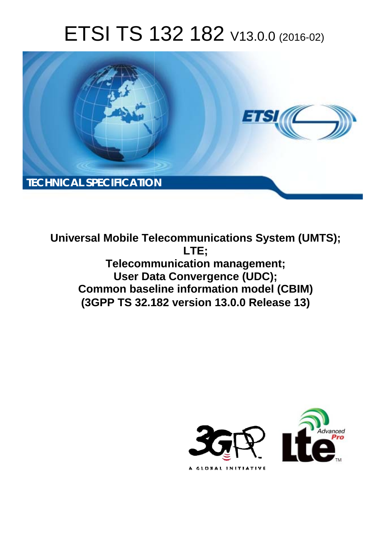# ETSI TS 132 182 V13.0.0 (2016-02)



**Universal Mobile Tel elecommunications System ( (UMTS); Telecomm munication management; User Dat ata Convergence (UDC); Common baseline information model (CBIM) (3GPP TS 32.1 .182 version 13.0.0 Release 13 13) LTE;** 

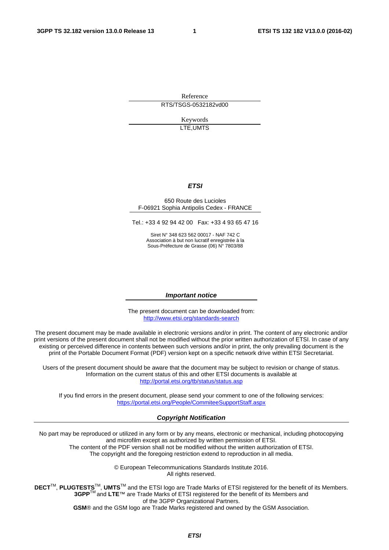Reference RTS/TSGS-0532182vd00

> Keywords LTE,UMTS

#### *ETSI*

#### 650 Route des Lucioles F-06921 Sophia Antipolis Cedex - FRANCE

Tel.: +33 4 92 94 42 00 Fax: +33 4 93 65 47 16

Siret N° 348 623 562 00017 - NAF 742 C Association à but non lucratif enregistrée à la Sous-Préfecture de Grasse (06) N° 7803/88

#### *Important notice*

The present document can be downloaded from: <http://www.etsi.org/standards-search>

The present document may be made available in electronic versions and/or in print. The content of any electronic and/or print versions of the present document shall not be modified without the prior written authorization of ETSI. In case of any existing or perceived difference in contents between such versions and/or in print, the only prevailing document is the print of the Portable Document Format (PDF) version kept on a specific network drive within ETSI Secretariat.

Users of the present document should be aware that the document may be subject to revision or change of status. Information on the current status of this and other ETSI documents is available at <http://portal.etsi.org/tb/status/status.asp>

If you find errors in the present document, please send your comment to one of the following services: <https://portal.etsi.org/People/CommiteeSupportStaff.aspx>

#### *Copyright Notification*

No part may be reproduced or utilized in any form or by any means, electronic or mechanical, including photocopying and microfilm except as authorized by written permission of ETSI.

The content of the PDF version shall not be modified without the written authorization of ETSI. The copyright and the foregoing restriction extend to reproduction in all media.

> © European Telecommunications Standards Institute 2016. All rights reserved.

**DECT**TM, **PLUGTESTS**TM, **UMTS**TM and the ETSI logo are Trade Marks of ETSI registered for the benefit of its Members. **3GPP**TM and **LTE**™ are Trade Marks of ETSI registered for the benefit of its Members and of the 3GPP Organizational Partners.

**GSM**® and the GSM logo are Trade Marks registered and owned by the GSM Association.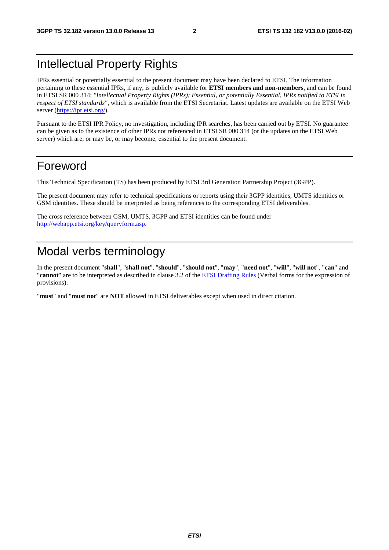# Intellectual Property Rights

IPRs essential or potentially essential to the present document may have been declared to ETSI. The information pertaining to these essential IPRs, if any, is publicly available for **ETSI members and non-members**, and can be found in ETSI SR 000 314: *"Intellectual Property Rights (IPRs); Essential, or potentially Essential, IPRs notified to ETSI in respect of ETSI standards"*, which is available from the ETSI Secretariat. Latest updates are available on the ETSI Web server [\(https://ipr.etsi.org/\)](https://ipr.etsi.org/).

Pursuant to the ETSI IPR Policy, no investigation, including IPR searches, has been carried out by ETSI. No guarantee can be given as to the existence of other IPRs not referenced in ETSI SR 000 314 (or the updates on the ETSI Web server) which are, or may be, or may become, essential to the present document.

### Foreword

This Technical Specification (TS) has been produced by ETSI 3rd Generation Partnership Project (3GPP).

The present document may refer to technical specifications or reports using their 3GPP identities, UMTS identities or GSM identities. These should be interpreted as being references to the corresponding ETSI deliverables.

The cross reference between GSM, UMTS, 3GPP and ETSI identities can be found under [http://webapp.etsi.org/key/queryform.asp.](http://webapp.etsi.org/key/queryform.asp)

# Modal verbs terminology

In the present document "**shall**", "**shall not**", "**should**", "**should not**", "**may**", "**need not**", "**will**", "**will not**", "**can**" and "**cannot**" are to be interpreted as described in clause 3.2 of the [ETSI Drafting Rules](http://portal.etsi.org/Help/editHelp!/Howtostart/ETSIDraftingRules.aspx) (Verbal forms for the expression of provisions).

"**must**" and "**must not**" are **NOT** allowed in ETSI deliverables except when used in direct citation.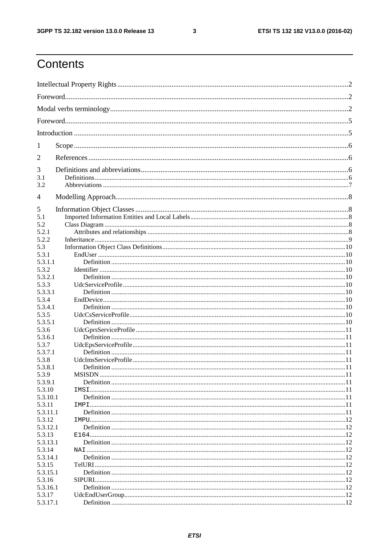$\mathbf{3}$ 

# Contents

| 1          |  |  |  |  |  |
|------------|--|--|--|--|--|
| 2          |  |  |  |  |  |
| 3          |  |  |  |  |  |
| 3.1<br>3.2 |  |  |  |  |  |
| 4          |  |  |  |  |  |
| 5          |  |  |  |  |  |
| 5.1        |  |  |  |  |  |
| 5.2        |  |  |  |  |  |
| 5.2.1      |  |  |  |  |  |
| 5.2.2      |  |  |  |  |  |
| 5.3        |  |  |  |  |  |
| 5.3.1      |  |  |  |  |  |
| 5.3.1.1    |  |  |  |  |  |
| 5.3.2      |  |  |  |  |  |
| 5.3.2.1    |  |  |  |  |  |
| 5.3.3      |  |  |  |  |  |
| 5.3.3.1    |  |  |  |  |  |
| 5.3.4      |  |  |  |  |  |
| 5.3.4.1    |  |  |  |  |  |
| 5.3.5      |  |  |  |  |  |
|            |  |  |  |  |  |
| 5.3.5.1    |  |  |  |  |  |
| 5.3.6      |  |  |  |  |  |
| 5.3.6.1    |  |  |  |  |  |
| 5.3.7      |  |  |  |  |  |
| 5.3.7.1    |  |  |  |  |  |
| 5.3.8      |  |  |  |  |  |
| 5.3.8.1    |  |  |  |  |  |
| 5.3.9      |  |  |  |  |  |
| 5.3.9.1    |  |  |  |  |  |
| 5.3.10     |  |  |  |  |  |
| 5.3.10.1   |  |  |  |  |  |
| 5.3.11     |  |  |  |  |  |
| 5.3.11.1   |  |  |  |  |  |
| 5.3.12     |  |  |  |  |  |
| 5.3.12.1   |  |  |  |  |  |
| 5.3.13     |  |  |  |  |  |
| 5.3.13.1   |  |  |  |  |  |
| 5.3.14     |  |  |  |  |  |
| 5.3.14.1   |  |  |  |  |  |
| 5.3.15     |  |  |  |  |  |
| 5.3.15.1   |  |  |  |  |  |
| 5.3.16     |  |  |  |  |  |
| 5.3.16.1   |  |  |  |  |  |
| 5.3.17     |  |  |  |  |  |
| 5.3.17.1   |  |  |  |  |  |
|            |  |  |  |  |  |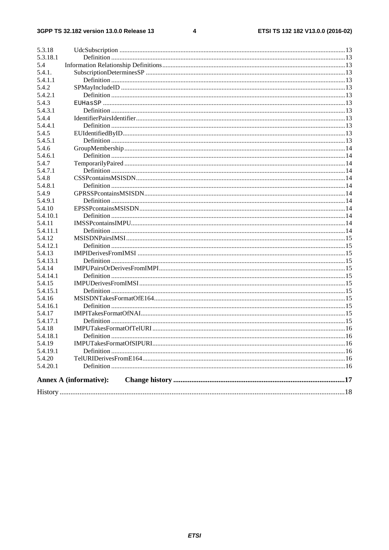$\overline{\mathbf{4}}$ 

| 5.3.18   |                        |  |
|----------|------------------------|--|
| 5.3.18.1 |                        |  |
| 5.4      |                        |  |
| 5.4.1.   |                        |  |
| 5.4.1.1  |                        |  |
| 5.4.2    |                        |  |
| 5.4.2.1  |                        |  |
| 5.4.3    |                        |  |
| 5.4.3.1  |                        |  |
| 5.4.4    |                        |  |
| 5.4.4.1  |                        |  |
| 5.4.5    |                        |  |
| 5.4.5.1  |                        |  |
| 5.4.6    |                        |  |
| 5.4.6.1  |                        |  |
| 5.4.7    |                        |  |
| 5.4.7.1  |                        |  |
| 5.4.8    |                        |  |
| 5.4.8.1  |                        |  |
| 5.4.9    |                        |  |
| 5.4.9.1  |                        |  |
| 5.4.10   |                        |  |
| 5.4.10.1 |                        |  |
| 5.4.11   |                        |  |
| 5.4.11.1 |                        |  |
| 5.4.12   |                        |  |
| 5.4.12.1 |                        |  |
| 5.4.13   |                        |  |
| 5.4.13.1 |                        |  |
| 5.4.14   |                        |  |
| 5.4.14.1 |                        |  |
| 5.4.15   |                        |  |
| 5.4.15.1 |                        |  |
| 5.4.16   |                        |  |
| 5.4.16.1 |                        |  |
| 5.4.17   |                        |  |
| 5.4.17.1 |                        |  |
| 5.4.18   |                        |  |
| 5.4.18.1 | <b>Definition</b>      |  |
| 5.4.19   |                        |  |
| 5.4.19.1 |                        |  |
| 5.4.20   |                        |  |
| 5.4.20.1 |                        |  |
|          |                        |  |
|          | Annex A (informative): |  |
|          |                        |  |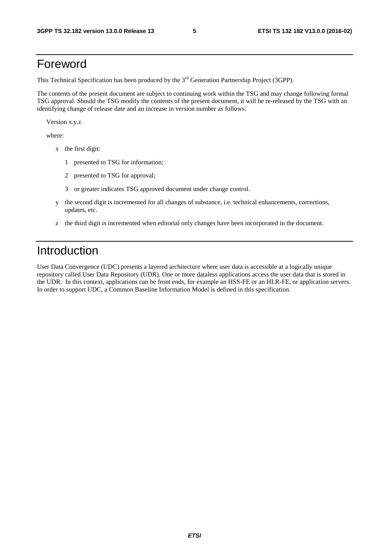### Foreword

This Technical Specification has been produced by the 3<sup>rd</sup> Generation Partnership Project (3GPP).

The contents of the present document are subject to continuing work within the TSG and may change following formal TSG approval. Should the TSG modify the contents of the present document, it will be re-released by the TSG with an identifying change of release date and an increase in version number as follows:

Version x.y.z

where:

- x the first digit:
	- 1 presented to TSG for information;
	- 2 presented to TSG for approval;
	- 3 or greater indicates TSG approved document under change control.
- y the second digit is incremented for all changes of substance, i.e. technical enhancements, corrections, updates, etc.
- z the third digit is incremented when editorial only changes have been incorporated in the document.

### Introduction

User Data Convergence (UDC) presents a layered architecture where user data is accessible at a logically unique repository called User Data Repository (UDR). One or more dataless applications access the user data that is stored in the UDR. In this context, applications can be front ends, for example an HSS-FE or an HLR-FE, or application servers. In order to support UDC, a Common Baseline Information Model is defined in this specification.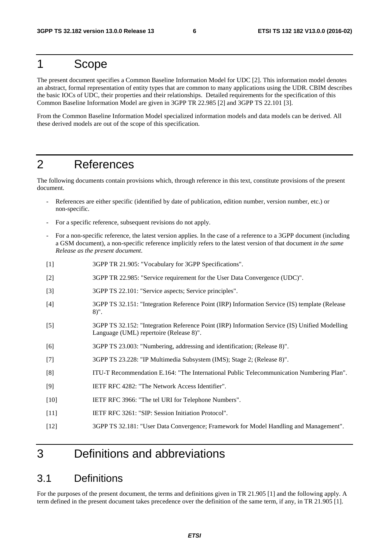### 1 Scope

The present document specifies a Common Baseline Information Model for UDC [2]. This information model denotes an abstract, formal representation of entity types that are common to many applications using the UDR. CBIM describes the basic IOCs of UDC, their properties and their relationships. Detailed requirements for the specification of this Common Baseline Information Model are given in 3GPP TR 22.985 [2] and 3GPP TS 22.101 [3].

From the Common Baseline Information Model specialized information models and data models can be derived. All these derived models are out of the scope of this specification.

### 2 References

The following documents contain provisions which, through reference in this text, constitute provisions of the present document.

- References are either specific (identified by date of publication, edition number, version number, etc.) or non-specific.
- For a specific reference, subsequent revisions do not apply.
- For a non-specific reference, the latest version applies. In the case of a reference to a 3GPP document (including a GSM document), a non-specific reference implicitly refers to the latest version of that document *in the same Release as the present document*.
- [1] 3GPP TR 21.905: "Vocabulary for 3GPP Specifications".
- [2] 3GPP TR 22.985: "Service requirement for the User Data Convergence (UDC)".
- [3] 3GPP TS 22.101: "Service aspects; Service principles".
- [4] 3GPP TS 32.151: "Integration Reference Point (IRP) Information Service (IS) template (Release 8)".
- [5] 3GPP TS 32.152: "Integration Reference Point (IRP) Information Service (IS) Unified Modelling Language (UML) repertoire (Release 8)".
- [6] 3GPP TS 23.003: "Numbering, addressing and identification; (Release 8)".
- [7] 3GPP TS 23.228: "IP Multimedia Subsystem (IMS); Stage 2; (Release 8)".
- [8] ITU-T Recommendation E.164: "The International Public Telecommunication Numbering Plan".
- [9] IETF RFC 4282: "The Network Access Identifier".
- [10] IETF RFC 3966: "The tel URI for Telephone Numbers".
- [11] IETF RFC 3261: "SIP: Session Initiation Protocol".
- [12] 3GPP TS 32.181: "User Data Convergence; Framework for Model Handling and Management".

### 3 Definitions and abbreviations

### 3.1 Definitions

For the purposes of the present document, the terms and definitions given in TR 21.905 [1] and the following apply. A term defined in the present document takes precedence over the definition of the same term, if any, in TR 21.905 [1].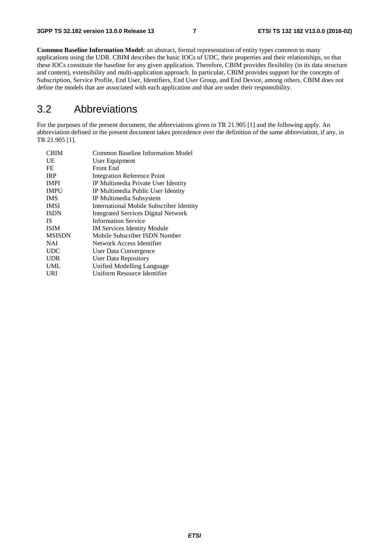**Common Baseline Information Model:** an abstract, formal representation of entity types common to many applications using the UDR. CBIM describes the basic IOCs of UDC, their properties and their relationships, so that these IOCs constitute the baseline for any given application. Therefore, CBIM provides flexibility (in its data structure and content), extensibility and multi-application approach. In particular, CBIM provides support for the concepts of Subscription, Service Profile, End User, Identifiers, End User Group, and End Device, among others. CBIM does not define the models that are associated with each application and that are under their responsibility.

### 3.2 Abbreviations

For the purposes of the present document, the abbreviations given in TR 21.905 [1] and the following apply. An abbreviation defined in the present document takes precedence over the definition of the same abbreviation, if any, in TR 21.905 [1].

| <b>CBIM</b>   | <b>Common Baseline Information Model</b>        |
|---------------|-------------------------------------------------|
| UE            | User Equipment                                  |
| FE            | <b>Front End</b>                                |
| <b>IRP</b>    | <b>Integration Reference Point</b>              |
| <b>IMPI</b>   | IP Multimedia Private User Identity             |
| <b>IMPU</b>   | IP Multimedia Public User Identity              |
| <b>IMS</b>    | IP Multimedia Subsystem                         |
| <b>IMSI</b>   | <b>International Mobile Subscriber Identity</b> |
| <b>ISDN</b>   | <b>Integrated Services Digital Network</b>      |
| IS.           | <b>Information Service</b>                      |
| <b>ISIM</b>   | <b>IM Services Identity Module</b>              |
| <b>MSISDN</b> | Mobile Subscriber ISDN Number                   |
| <b>NAI</b>    | Network Access Identifier                       |
| <b>UDC</b>    | User Data Convergence                           |
| <b>UDR</b>    | User Data Repository                            |
| UML           | Unified Modelling Language                      |
| URI           | <b>Uniform Resource Identifier</b>              |
|               |                                                 |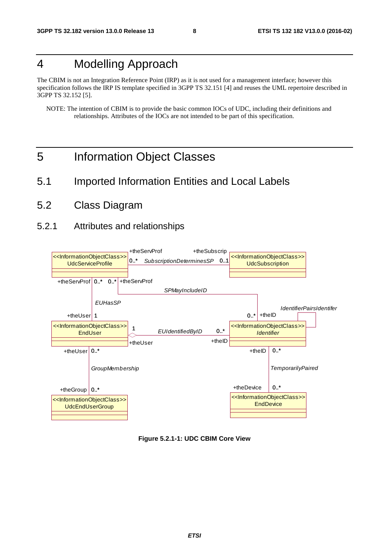## 4 Modelling Approach

The CBIM is not an Integration Reference Point (IRP) as it is not used for a management interface; however this specification follows the IRP IS template specified in 3GPP TS 32.151 [4] and reuses the UML repertoire described in 3GPP TS 32.152 [5].

NOTE: The intention of CBIM is to provide the basic common IOCs of UDC, including their definitions and relationships. Attributes of the IOCs are not intended to be part of this specification.

- 5 Information Object Classes
- 5.1 Imported Information Entities and Local Labels
- 5.2 Class Diagram
- 5.2.1 Attributes and relationships



**Figure 5.2.1-1: UDC CBIM Core View**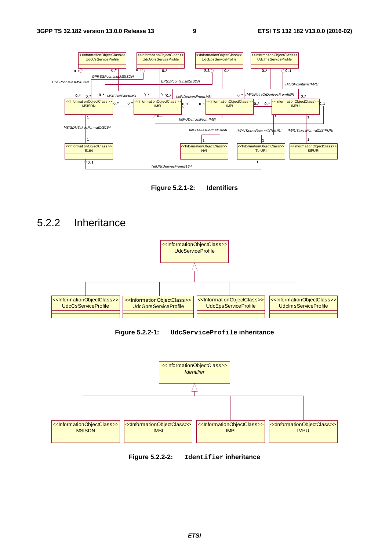

**Figure 5.2.1-2: Identifiers** 





**Figure 5.2.2-1: UdcServiceProfile inheritance** 



**Figure 5.2.2-2: Identifier inheritance**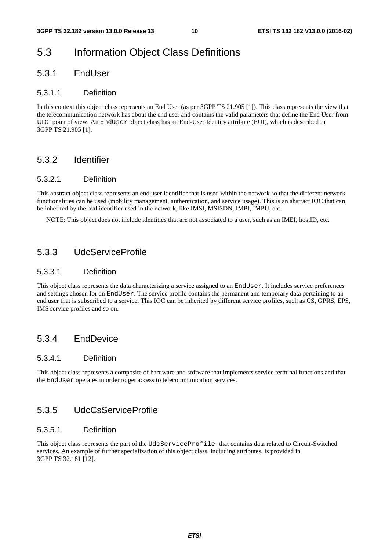### 5.3 Information Object Class Definitions

#### 5.3.1 EndUser

#### 5.3.1.1 Definition

In this context this object class represents an End User (as per 3GPP TS 21.905 [1]). This class represents the view that the telecommunication network has about the end user and contains the valid parameters that define the End User from UDC point of view. An EndUser object class has an End-User Identity attribute (EUI), which is described in 3GPP TS 21.905 [1].

#### 5.3.2 Identifier

#### 5.3.2.1 Definition

This abstract object class represents an end user identifier that is used within the network so that the different network functionalities can be used (mobility management, authentication, and service usage). This is an abstract IOC that can be inherited by the real identifier used in the network, like IMSI, MSISDN, IMPI, IMPU, etc.

NOTE: This object does not include identities that are not associated to a user, such as an IMEI, hostID, etc.

#### 5.3.3 UdcServiceProfile

#### 5.3.3.1 Definition

This object class represents the data characterizing a service assigned to an EndUser. It includes service preferences and settings chosen for an EndUser. The service profile contains the permanent and temporary data pertaining to an end user that is subscribed to a service. This IOC can be inherited by different service profiles, such as CS, GPRS, EPS, IMS service profiles and so on.

#### 5.3.4 EndDevice

#### 5.3.4.1 Definition

This object class represents a composite of hardware and software that implements service terminal functions and that the EndUser operates in order to get access to telecommunication services.

#### 5.3.5 UdcCsServiceProfile

#### 5.3.5.1 Definition

This object class represents the part of the UdcServiceProfile that contains data related to Circuit-Switched services. An example of further specialization of this object class, including attributes, is provided in 3GPP TS 32.181 [12].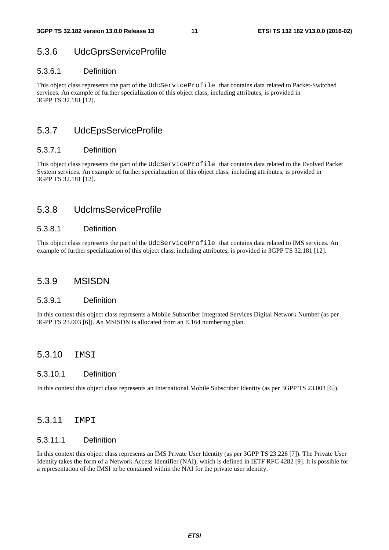### 5.3.6 UdcGprsServiceProfile

#### 5.3.6.1 Definition

This object class represents the part of the UdcServiceProfile that contains data related to Packet-Switched services. An example of further specialization of this object class, including attributes, is provided in 3GPP TS 32.181 [12].

### 5.3.7 UdcEpsServiceProfile

#### 5.3.7.1 Definition

This object class represents the part of the UdcServiceProfile that contains data related to the Evolved Packet System services. An example of further specialization of this object class, including attributes, is provided in 3GPP TS 32.181 [12].

### 5.3.8 UdcImsServiceProfile

#### 5.3.8.1 Definition

This object class represents the part of the UdcServiceProfile that contains data related to IMS services. An example of further specialization of this object class, including attributes, is provided in 3GPP TS 32.181 [12].

#### 5.3.9 MSISDN

#### 5.3.9.1 Definition

In this context this object class represents a Mobile Subscriber Integrated Services Digital Network Number (as per 3GPP TS 23.003 [6]). An MSISDN is allocated from an E.164 numbering plan.

#### 5.3.10 TMST

#### 5.3.10.1 Definition

In this context this object class represents an International Mobile Subscriber Identity (as per 3GPP TS 23.003 [6]).

#### 5.3.11 IMPI

#### 5.3.11.1 Definition

In this context this object class represents an IMS Private User Identity (as per 3GPP TS 23.228 [7]). The Private User Identity takes the form of a Network Access Identifier (NAI), which is defined in IETF RFC 4282 [9]. It is possible for a representation of the IMSI to be contained within the NAI for the private user identity.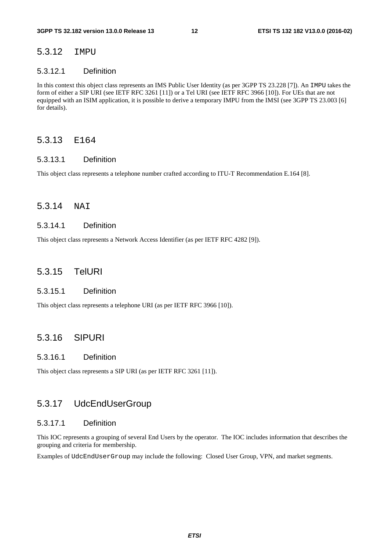#### 5.3.12 IMPU

#### 5.3.12.1 Definition

In this context this object class represents an IMS Public User Identity (as per 3GPP TS 23.228 [7]). An IMPU takes the form of either a SIP URI (see IETF RFC 3261 [11]) or a Tel URI (see IETF RFC 3966 [10]). For UEs that are not equipped with an ISIM application, it is possible to derive a temporary IMPU from the IMSI (see 3GPP TS 23.003 [6] for details).

#### 5.3.13 E164

#### 5.3.13.1 Definition

This object class represents a telephone number crafted according to ITU-T Recommendation E.164 [8].

#### 5.3.14 NAI

#### 5.3.14.1 Definition

This object class represents a Network Access Identifier (as per IETF RFC 4282 [9]).

#### 5.3.15 TelURI

#### 5.3.15.1 Definition

This object class represents a telephone URI (as per IETF RFC 3966 [10]).

#### 5.3.16 SIPURI

#### 5.3.16.1 Definition

This object class represents a SIP URI (as per IETF RFC 3261 [11]).

#### 5.3.17 UdcEndUserGroup

#### 5.3.17.1 Definition

This IOC represents a grouping of several End Users by the operator. The IOC includes information that describes the grouping and criteria for membership.

Examples of UdcEndUserGroup may include the following: Closed User Group, VPN, and market segments.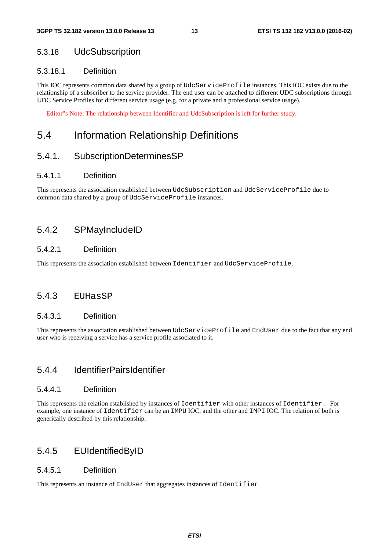### 5.3.18 UdcSubscription

#### 5.3.18.1 Definition

This IOC represents common data shared by a group of UdcServiceProfile instances. This IOC exists due to the relationship of a subscriber to the service provider. The end user can be attached to different UDC subscriptions through UDC Service Profiles for different service usage (e.g. for a private and a professional service usage).

Editor"s Note: The relationship between Identifier and UdcSubscription is left for further study.

### 5.4 Information Relationship Definitions

### 5.4.1. SubscriptionDeterminesSP

#### 5.4.1.1 Definition

This represents the association established between UdcSubscription and UdcServiceProfile due to common data shared by a group of UdcServiceProfile instances.

#### 5.4.2 SPMayIncludeID

#### 5.4.2.1 Definition

This represents the association established between Identifier and UdcServiceProfile.

#### 5.4.3 EUHasSP

#### 5.4.3.1 Definition

This represents the association established between UdcServiceProfile and EndUser due to the fact that any end user who is receiving a service has a service profile associated to it.

### 5.4.4 IdentifierPairsIdentifier

#### 5.4.4.1 Definition

This represents the relation established by instances of Identifier with other instances of Identifier. For example, one instance of Identifier can be an IMPU IOC, and the other and IMPI IOC. The relation of both is generically described by this relationship.

#### 5.4.5 EUIdentifiedByID

#### 5.4.5.1 Definition

This represents an instance of EndUser that aggregates instances of Identifier.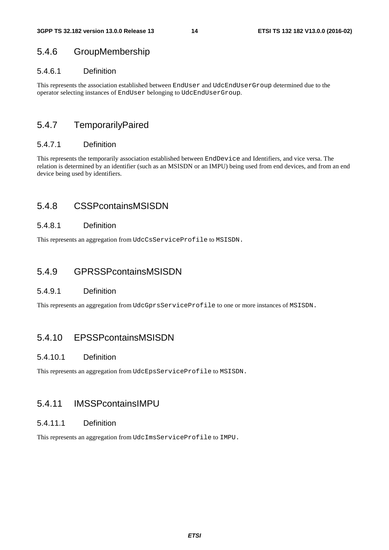### 5.4.6 GroupMembership

#### 5.4.6.1 Definition

This represents the association established between EndUser and UdcEndUserGroup determined due to the operator selecting instances of EndUser belonging to UdcEndUserGroup.

### 5.4.7 TemporarilyPaired

#### 5.4.7.1 Definition

This represents the temporarily association established between EndDevice and Identifiers, and vice versa. The relation is determined by an identifier (such as an MSISDN or an IMPU) being used from end devices, and from an end device being used by identifiers.

### 5.4.8 CSSPcontainsMSISDN

#### 5.4.8.1 Definition

This represents an aggregation from UdcCsServiceProfile to MSISDN.

### 5.4.9 GPRSSPcontainsMSISDN

#### 5.4.9.1 Definition

This represents an aggregation from UdcGprsServiceProfile to one or more instances of MSISDN.

### 5.4.10 EPSSPcontainsMSISDN

#### 5.4.10.1 Definition

This represents an aggregation from UdcEpsServiceProfile to MSISDN.

### 5.4.11 IMSSPcontainsIMPU

#### 5.4.11.1 Definition

This represents an aggregation from UdcImsServiceProfile to IMPU.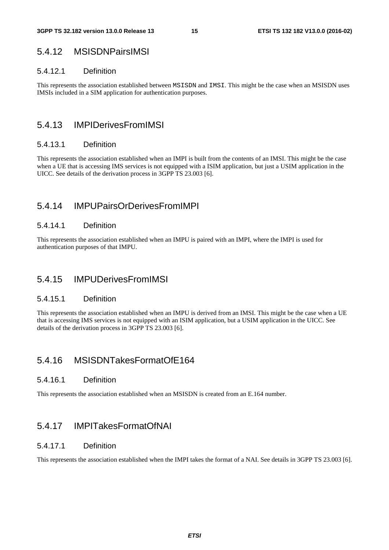### 5.4.12 MSISDNPairsIMSI

#### 5.4.12.1 Definition

This represents the association established between MSISDN and IMSI. This might be the case when an MSISDN uses IMSIs included in a SIM application for authentication purposes.

### 5.4.13 IMPIDerivesFromIMSI

#### 5.4.13.1 Definition

This represents the association established when an IMPI is built from the contents of an IMSI. This might be the case when a UE that is accessing IMS services is not equipped with a ISIM application, but just a USIM application in the UICC. See details of the derivation process in 3GPP TS 23.003 [6].

### 5.4.14 IMPUPairsOrDerivesFromIMPI

#### 5.4.14.1 Definition

This represents the association established when an IMPU is paired with an IMPI, where the IMPI is used for authentication purposes of that IMPU.

### 5.4.15 IMPUDerivesFromIMSI

#### 5.4.15.1 Definition

This represents the association established when an IMPU is derived from an IMSI. This might be the case when a UE that is accessing IMS services is not equipped with an ISIM application, but a USIM application in the UICC. See details of the derivation process in 3GPP TS 23.003 [6].

### 5.4.16 MSISDNTakesFormatOfE164

#### 5.4.16.1 Definition

This represents the association established when an MSISDN is created from an E.164 number.

### 5.4.17 IMPITakesFormatOfNAI

#### 5.4.17.1 Definition

This represents the association established when the IMPI takes the format of a NAI. See details in 3GPP TS 23.003 [6].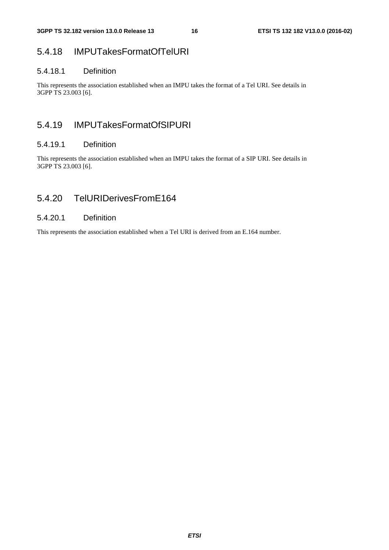### 5.4.18 IMPUTakesFormatOfTelURI

#### 5.4.18.1 Definition

This represents the association established when an IMPU takes the format of a Tel URI. See details in 3GPP TS 23.003 [6].

### 5.4.19 IMPUTakesFormatOfSIPURI

#### 5.4.19.1 Definition

This represents the association established when an IMPU takes the format of a SIP URI. See details in 3GPP TS 23.003 [6].

### 5.4.20 TelURIDerivesFromE164

#### 5.4.20.1 Definition

This represents the association established when a Tel URI is derived from an E.164 number.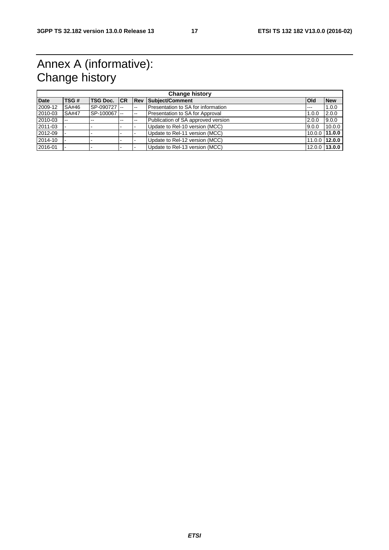# Annex A (informative): Change history

| <b>Change history</b> |               |                     |       |        |                                    |               |               |
|-----------------------|---------------|---------------------|-------|--------|------------------------------------|---------------|---------------|
| <b>Date</b>           | TSG#          | <b>TSG Doc. ICR</b> |       | Rev    | Subject/Comment                    | <b>l</b> Old  | <b>New</b>    |
| 2009-12               | SA#46         | SP-090727 --        |       | $\sim$ | Presentation to SA for information | $\frac{1}{2}$ | 1.0.0         |
| 2010-03               | <b>SA#47</b>  | SP-100067 --        |       | --     | Presentation to SA for Approval    | 1.0.0         | 2.0.0         |
| 2010-03               | $\sim$ $\sim$ | --                  | $- -$ | $-$    | Publication of SA approved version | 2.0.0         | 9.0.0         |
| 2011-03               |               |                     |       |        | Update to Rel-10 version (MCC)     | 9.0.0         | 10.0.0        |
| 2012-09               |               |                     |       |        | Update to Rel-11 version (MCC)     | 10.0.0 11.0.0 |               |
| 2014-10               |               |                     |       |        | Update to Rel-12 version (MCC)     | 11.0.0 12.0.0 |               |
| 2016-01               |               |                     |       |        | Update to Rel-13 version (MCC)     |               | 12.0.0 13.0.0 |